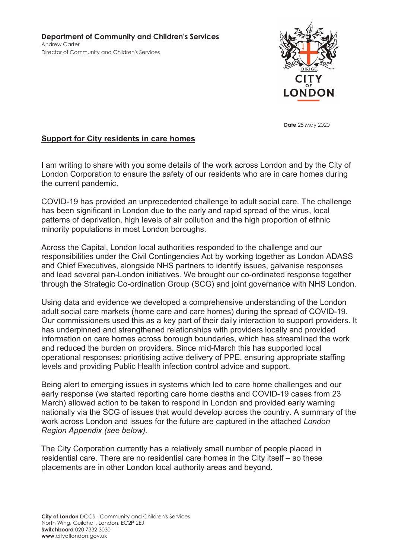

**Date** 28 May 2020

# Support for City residents in care homes

I am writing to share with you some details of the work across London and by the City of London Corporation to ensure the safety of our residents who are in care homes during the current pandemic.

COVID-19 has provided an unprecedented challenge to adult social care. The challenge has been significant in London due to the early and rapid spread of the virus, local patterns of deprivation, high levels of air pollution and the high proportion of ethnic minority populations in most London boroughs.

Across the Capital, London local authorities responded to the challenge and our responsibilities under the Civil Contingencies Act by working together as London ADASS and Chief Executives, alongside NHS partners to identify issues, galvanise responses and lead several pan-London initiatives. We brought our co-ordinated response together through the Strategic Co-ordination Group (SCG) and joint governance with NHS London.

Using data and evidence we developed a comprehensive understanding of the London adult social care markets (home care and care homes) during the spread of COVID-19. Our commissioners used this as a key part of their daily interaction to support providers. It has underpinned and strengthened relationships with providers locally and provided information on care homes across borough boundaries, which has streamlined the work and reduced the burden on providers. Since mid-March this has supported local operational responses: prioritising active delivery of PPE, ensuring appropriate staffing levels and providing Public Health infection control advice and support.

Being alert to emerging issues in systems which led to care home challenges and our early response (we started reporting care home deaths and COVID-19 cases from 23 March) allowed action to be taken to respond in London and provided early warning nationally via the SCG of issues that would develop across the country. A summary of the work across London and issues for the future are captured in the attached *London Region Appendix (see below).*

The City Corporation currently has a relatively small number of people placed in residential care. There are no residential care homes in the City itself – so these placements are in other London local authority areas and beyond.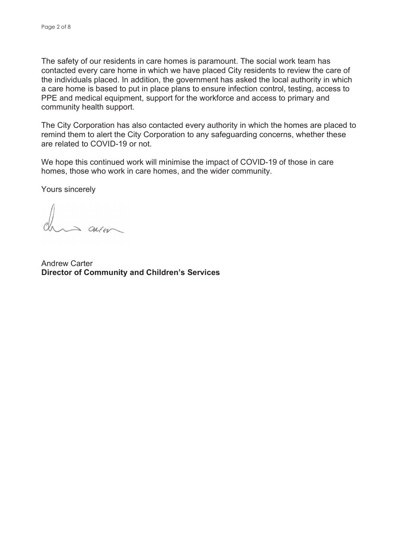The safety of our residents in care homes is paramount. The social work team has contacted every care home in which we have placed City residents to review the care of the individuals placed. In addition, the government has asked the local authority in which a care home is based to put in place plans to ensure infection control, testing, access to PPE and medical equipment, support for the workforce and access to primary and community health support.

The City Corporation has also contacted every authority in which the homes are placed to remind them to alert the City Corporation to any safeguarding concerns, whether these are related to COVID-19 or not.

We hope this continued work will minimise the impact of COVID-19 of those in care homes, those who work in care homes, and the wider community.

Yours sincerely

 $\Rightarrow$  CALEU

Andrew Carter Director of Community and Children's Services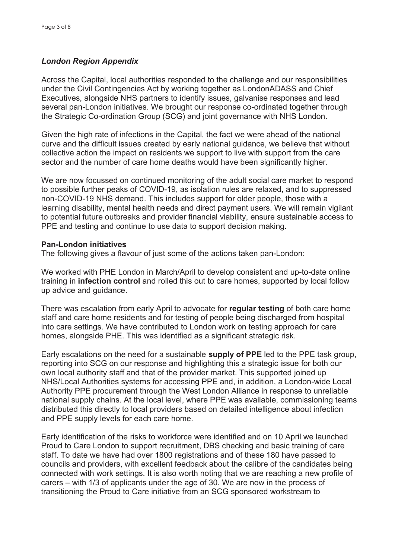## *London Region Appendix*

Across the Capital, local authorities responded to the challenge and our responsibilities under the Civil Contingencies Act by working together as LondonADASS and Chief Executives, alongside NHS partners to identify issues, galvanise responses and lead several pan-London initiatives. We brought our response co-ordinated together through the Strategic Co-ordination Group (SCG) and joint governance with NHS London.

Given the high rate of infections in the Capital, the fact we were ahead of the national curve and the difficult issues created by early national guidance, we believe that without collective action the impact on residents we support to live with support from the care sector and the number of care home deaths would have been significantly higher.

We are now focussed on continued monitoring of the adult social care market to respond to possible further peaks of COVID-19, as isolation rules are relaxed, and to suppressed non-COVID-19 NHS demand. This includes support for older people, those with a learning disability, mental health needs and direct payment users. We will remain vigilant to potential future outbreaks and provider financial viability, ensure sustainable access to PPE and testing and continue to use data to support decision making.

#### Pan-London initiatives

The following gives a flavour of just some of the actions taken pan-London:

We worked with PHE London in March/April to develop consistent and up-to-date online training in infection control and rolled this out to care homes, supported by local follow up advice and guidance.

There was escalation from early April to advocate for regular testing of both care home staff and care home residents and for testing of people being discharged from hospital into care settings. We have contributed to London work on testing approach for care homes, alongside PHE. This was identified as a significant strategic risk.

Early escalations on the need for a sustainable supply of PPE led to the PPE task group, reporting into SCG on our response and highlighting this a strategic issue for both our own local authority staff and that of the provider market. This supported joined up NHS/Local Authorities systems for accessing PPE and, in addition, a London-wide Local Authority PPE procurement through the West London Alliance in response to unreliable national supply chains. At the local level, where PPE was available, commissioning teams distributed this directly to local providers based on detailed intelligence about infection and PPE supply levels for each care home.

Early identification of the risks to workforce were identified and on 10 April we launched Proud to Care London to support recruitment, DBS checking and basic training of care staff. To date we have had over 1800 registrations and of these 180 have passed to councils and providers, with excellent feedback about the calibre of the candidates being connected with work settings. It is also worth noting that we are reaching a new profile of carers – with 1/3 of applicants under the age of 30. We are now in the process of transitioning the Proud to Care initiative from an SCG sponsored workstream to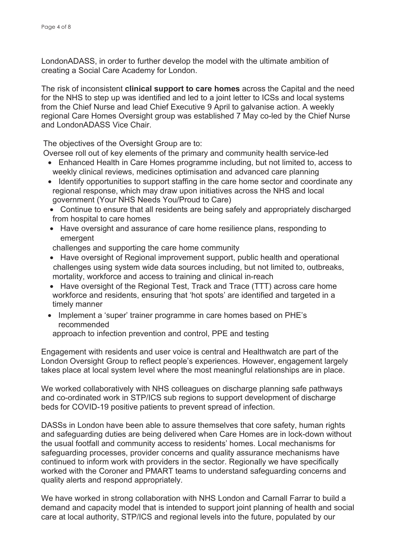LondonADASS, in order to further develop the model with the ultimate ambition of creating a Social Care Academy for London.

The risk of inconsistent **clinical support to care homes** across the Capital and the need for the NHS to step up was identified and led to a joint letter to ICSs and local systems from the Chief Nurse and lead Chief Executive 9 April to galvanise action. A weekly regional Care Homes Oversight group was established 7 May co-led by the Chief Nurse and LondonADASS Vice Chair.

The objectives of the Oversight Group are to:

Oversee roll out of key elements of the primary and community health service-led

- Enhanced Health in Care Homes programme including, but not limited to, access to weekly clinical reviews, medicines optimisation and advanced care planning
- Identify opportunities to support staffing in the care home sector and coordinate any regional response, which may draw upon initiatives across the NHS and local government (Your NHS Needs You/Proud to Care)
- Continue to ensure that all residents are being safely and appropriately discharged from hospital to care homes
- Have oversight and assurance of care home resilience plans, responding to emergent

challenges and supporting the care home community

- Have oversight of Regional improvement support, public health and operational challenges using system wide data sources including, but not limited to, outbreaks, mortality, workforce and access to training and clinical in-reach
- Have oversight of the Regional Test, Track and Trace (TTT) across care home workforce and residents, ensuring that 'hot spots' are identified and targeted in a timely manner
- Implement a 'super' trainer programme in care homes based on PHE's recommended

approach to infection prevention and control, PPE and testing

Engagement with residents and user voice is central and Healthwatch are part of the London Oversight Group to reflect people's experiences. However, engagement largely takes place at local system level where the most meaningful relationships are in place.

We worked collaboratively with NHS colleagues on discharge planning safe pathways and co-ordinated work in STP/ICS sub regions to support development of discharge beds for COVID-19 positive patients to prevent spread of infection.

DASSs in London have been able to assure themselves that core safety, human rights and safeguarding duties are being delivered when Care Homes are in lock-down without the usual footfall and community access to residents' homes. Local mechanisms for safeguarding processes, provider concerns and quality assurance mechanisms have continued to inform work with providers in the sector. Regionally we have specifically worked with the Coroner and PMART teams to understand safeguarding concerns and quality alerts and respond appropriately.

We have worked in strong collaboration with NHS London and Carnall Farrar to build a demand and capacity model that is intended to support joint planning of health and social care at local authority, STP/ICS and regional levels into the future, populated by our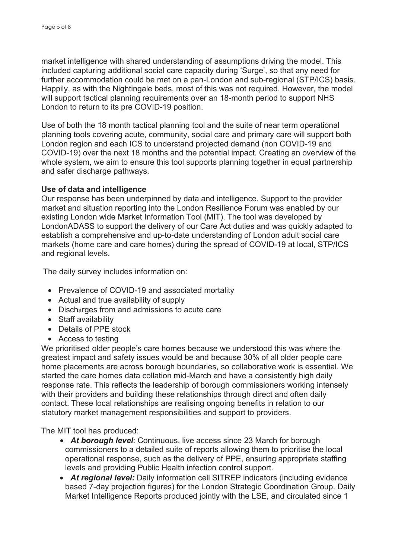market intelligence with shared understanding of assumptions driving the model. This included capturing additional social care capacity during 'Surge', so that any need for further accommodation could be met on a pan-London and sub-regional (STP/ICS) basis. Happily, as with the Nightingale beds, most of this was not required. However, the model will support tactical planning requirements over an 18-month period to support NHS London to return to its pre COVID-19 position.

Use of both the 18 month tactical planning tool and the suite of near term operational planning tools covering acute, community, social care and primary care will support both London region and each ICS to understand projected demand (non COVID-19 and COVID-19) over the next 18 months and the potential impact. Creating an overview of the whole system, we aim to ensure this tool supports planning together in equal partnership and safer discharge pathways.

# Use of data and intelligence

Our response has been underpinned by data and intelligence. Support to the provider market and situation reporting into the London Resilience Forum was enabled by our existing London wide Market Information Tool (MIT). The tool was developed by LondonADASS to support the delivery of our Care Act duties and was quickly adapted to establish a comprehensive and up-to-date understanding of London adult social care markets (home care and care homes) during the spread of COVID-19 at local, STP/ICS and regional levels.

The daily survey includes information on:

- Prevalence of COVID-19 and associated mortality
- Actual and true availability of supply
- Discharges from and admissions to acute care
- Staff availability
- Details of PPE stock
- Access to testing

We prioritised older people's care homes because we understood this was where the greatest impact and safety issues would be and because 30% of all older people care home placements are across borough boundaries, so collaborative work is essential. We started the care homes data collation mid-March and have a consistently high daily response rate. This reflects the leadership of borough commissioners working intensely with their providers and building these relationships through direct and often daily contact. These local relationships are realising ongoing benefits in relation to our statutory market management responsibilities and support to providers.

The MIT tool has produced:

- *At borough level*: Continuous, live access since 23 March for borough commissioners to a detailed suite of reports allowing them to prioritise the local operational response, such as the delivery of PPE, ensuring appropriate staffing levels and providing Public Health infection control support.
- *At regional level:* Daily information cell SITREP indicators (including evidence based 7-day projection figures) for the London Strategic Coordination Group. Daily Market Intelligence Reports produced jointly with the LSE, and circulated since 1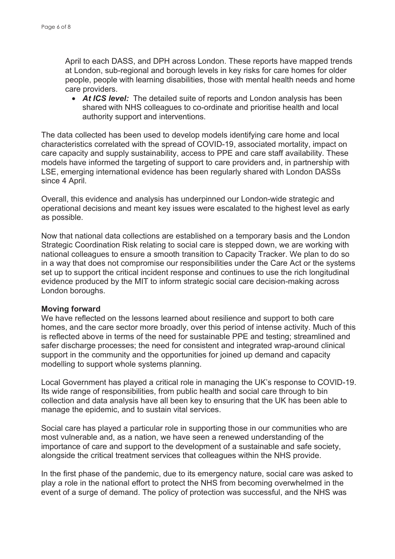April to each DASS, and DPH across London. These reports have mapped trends at London, sub-regional and borough levels in key risks for care homes for older people, people with learning disabilities, those with mental health needs and home care providers.

• *At ICS level:* The detailed suite of reports and London analysis has been shared with NHS colleagues to co-ordinate and prioritise health and local authority support and interventions.

The data collected has been used to develop models identifying care home and local characteristics correlated with the spread of COVID-19, associated mortality, impact on care capacity and supply sustainability, access to PPE and care staff availability. These models have informed the targeting of support to care providers and, in partnership with LSE, emerging international evidence has been regularly shared with London DASSs since 4 April.

Overall, this evidence and analysis has underpinned our London-wide strategic and operational decisions and meant key issues were escalated to the highest level as early as possible.

Now that national data collections are established on a temporary basis and the London Strategic Coordination Risk relating to social care is stepped down, we are working with national colleagues to ensure a smooth transition to Capacity Tracker. We plan to do so in a way that does not compromise our responsibilities under the Care Act or the systems set up to support the critical incident response and continues to use the rich longitudinal evidence produced by the MIT to inform strategic social care decision-making across London boroughs.

#### Moving forward

We have reflected on the lessons learned about resilience and support to both care homes, and the care sector more broadly, over this period of intense activity. Much of this is reflected above in terms of the need for sustainable PPE and testing; streamlined and safer discharge processes; the need for consistent and integrated wrap-around clinical support in the community and the opportunities for joined up demand and capacity modelling to support whole systems planning.

Local Government has played a critical role in managing the UK's response to COVID-19. Its wide range of responsibilities, from public health and social care through to bin collection and data analysis have all been key to ensuring that the UK has been able to manage the epidemic, and to sustain vital services.

Social care has played a particular role in supporting those in our communities who are most vulnerable and, as a nation, we have seen a renewed understanding of the importance of care and support to the development of a sustainable and safe society, alongside the critical treatment services that colleagues within the NHS provide.

In the first phase of the pandemic, due to its emergency nature, social care was asked to play a role in the national effort to protect the NHS from becoming overwhelmed in the event of a surge of demand. The policy of protection was successful, and the NHS was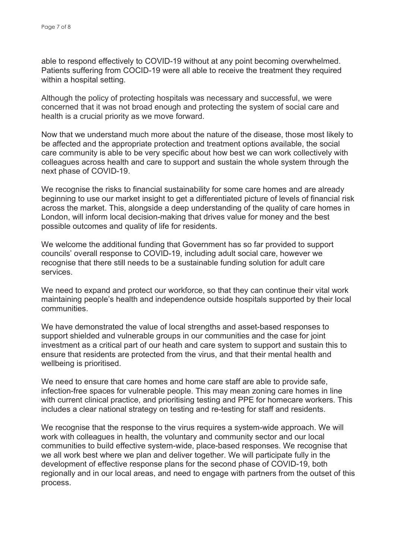able to respond effectively to COVID-19 without at any point becoming overwhelmed. Patients suffering from COCID-19 were all able to receive the treatment they required within a hospital setting.

Although the policy of protecting hospitals was necessary and successful, we were concerned that it was not broad enough and protecting the system of social care and health is a crucial priority as we move forward.

Now that we understand much more about the nature of the disease, those most likely to be affected and the appropriate protection and treatment options available, the social care community is able to be very specific about how best we can work collectively with colleagues across health and care to support and sustain the whole system through the next phase of COVID-19.

We recognise the risks to financial sustainability for some care homes and are already beginning to use our market insight to get a differentiated picture of levels of financial risk across the market. This, alongside a deep understanding of the quality of care homes in London, will inform local decision-making that drives value for money and the best possible outcomes and quality of life for residents.

We welcome the additional funding that Government has so far provided to support councils' overall response to COVID-19, including adult social care, however we recognise that there still needs to be a sustainable funding solution for adult care services.

We need to expand and protect our workforce, so that they can continue their vital work maintaining people's health and independence outside hospitals supported by their local communities.

We have demonstrated the value of local strengths and asset-based responses to support shielded and vulnerable groups in our communities and the case for joint investment as a critical part of our heath and care system to support and sustain this to ensure that residents are protected from the virus, and that their mental health and wellbeing is prioritised.

We need to ensure that care homes and home care staff are able to provide safe, infection-free spaces for vulnerable people. This may mean zoning care homes in line with current clinical practice, and prioritising testing and PPE for homecare workers. This includes a clear national strategy on testing and re-testing for staff and residents.

We recognise that the response to the virus requires a system-wide approach. We will work with colleagues in health, the voluntary and community sector and our local communities to build effective system-wide, place-based responses. We recognise that we all work best where we plan and deliver together. We will participate fully in the development of effective response plans for the second phase of COVID-19, both regionally and in our local areas, and need to engage with partners from the outset of this process.